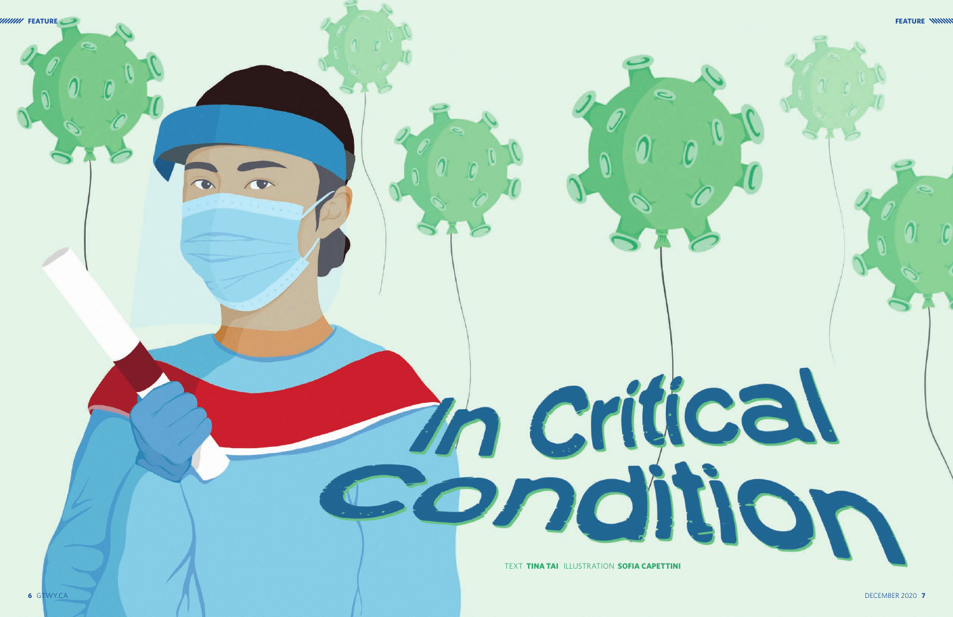

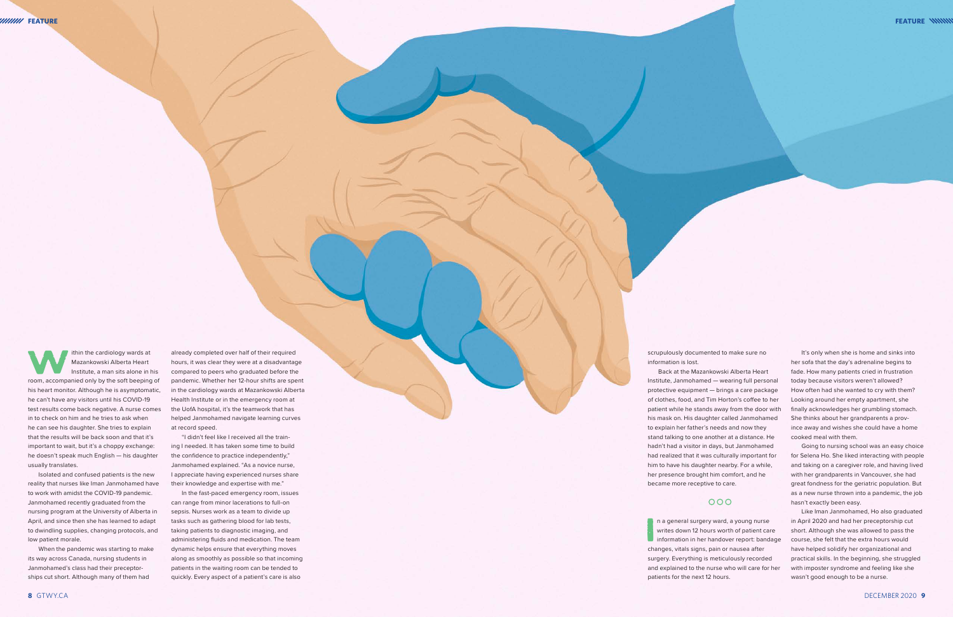Ithin the cardiology wards at<br>
Mazankowski Alberta Heart<br>
Institute, a man sits alone in his<br>
room, accompanied only by the soft beeping of Mazankowski Alberta Heart Institute, a man sits alone in his his heart monitor. Although he is asymptomatic, he can't have any visitors until his COVID-19 test results come back negative. A nurse comes in to check on him and he tries to ask when he can see his daughter. She tries to explain that the results will be back soon and that it's important to wait, but it's a choppy exchange: he doesn't speak much English — his daughter usually translates.

Isolated and confused patients is the new reality that nurses like Iman Janmohamed have to work with amidst the COVID-19 pandemic. Janmohamed recently graduated from the nursing program at the University of Alberta in April, and since then she has learned to adapt to dwindling supplies, changing protocols, and low patient morale.

When the pandemic was starting to make its way across Canada, nursing students in Janmohamed's class had their preceptor ships cut short. Although many of them had

already completed over half of their required hours, it was clear they were at a disadvantage compared to peers who graduated before the pandemic. Whether her 12-hour shifts are spent in the cardiology wards at Mazankowski Alberta Health Institute or in the emergency room at the UofA hospital, it's the teamwork that has helped Janmohamed navigate learning curves at record speed.

> **I** n a general surgery ward, a young nurse writes down 12 hours worth of patient care information in her handover report: bandage changes, vitals signs, pain or nausea after surgery. Everything is meticulously recorded and explained to the nurse who will care for her patients for the next 12 hours.

"I didn't feel like I received all the train ing I needed. It has taken some time to build the confidence to practice independently," Janmohamed explained. "As a novice nurse, I appreciate having experienced nurses share their knowledge and expertise with me."

It's only when she is home and sinks into her sofa that the day's adrenaline begins to fade. How many patients cried in frustration today because visitors weren't allowed? How often had she wanted to cry with them? Looking around her empty apartment, she finally acknowledges her grumbling stomach. She thinks about her grandparents a prov ince away and wishes she could have a home cooked meal with them.

In the fast-paced emergency room, issues can range from minor lacerations to full-on sepsis. Nurses work as a team to divide up tasks such as gathering blood for lab tests, taking patients to diagnostic imaging, and administering fluids and medication. The team dynamic helps ensure that everything moves along as smoothly as possible so that incoming patients in the waiting room can be tended to quickly. Every aspect of a patient's care is also

scrupulously documented to make sure no

## $000$

information is lost.

Back at the Mazankowski Alberta Heart Institute, Janmohamed — wearing full personal protective equipment — brings a care package of clothes, food, and Tim Horton's coffee to her patient while he stands away from the door with his mask on. His daughter called Janmohamed to explain her father's needs and now they stand talking to one another at a distance. He hadn't had a visitor in days, but Janmohamed had realized that it was culturally important for him to have his daughter nearby. For a while, her presence brought him comfort, and he became more receptive to care.

Going to nursing school was an easy choice for Selena Ho. She liked interacting with people and taking on a caregiver role, and having lived with her grandparents in Vancouver, she had great fondness for the geriatric population. But as a new nurse thrown into a pandemic, the job hasn't exactly been easy.

Like Iman Janmohamed, Ho also graduated in April 2020 and had her preceptorship cut short. Although she was allowed to pass the course, she felt that the extra hours would have helped solidify her organizational and practical skills. In the beginning, she struggled with imposter syndrome and feeling like she wasn't good enough to be a nurse.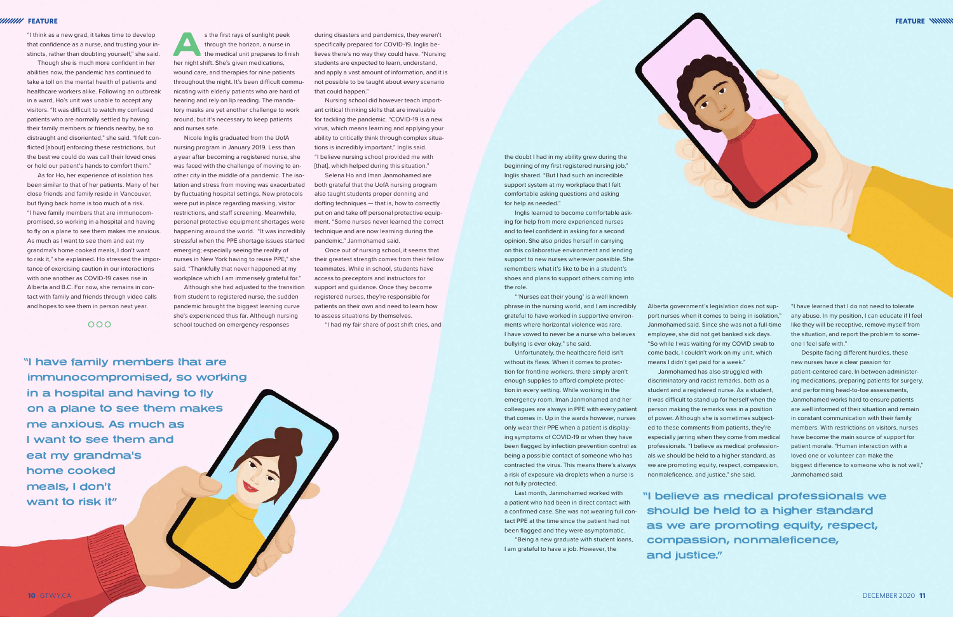"I think as a new grad, it takes time to develop that confidence as a nurse, and trusting your instincts, rather than doubting yourself," she said.

Though she is much more confident in her abilities now, the pandemic has continued to take a toll on the mental health of patients and healthcare workers alike. Following an outbreak in a ward, Ho's unit was unable to accept any visitors. "It was difficult to watch my confused patients who are normally settled by having their family members or friends nearby, be so distraught and disoriented," she said. "I felt conflicted [about] enforcing these restrictions, but the best we could do was call their loved ones or hold our patient's hands to comfort them."

s the first rays of sunlight peek through the horizon, a nurse in the medical unit prepares to finish her night shift. She's given medications, wound care, and therapies for nine patients throughout the night. It's been difficult communicating with elderly patients who are hard of hearing and rely on lip reading. The mandatory masks are yet another challenge to work around, but it's necessary to keep patients and nurses safe.

As for Ho, her experience of isolation has been similar to that of her patients. Many of her close friends and family reside in Vancouver, but flying back home is too much of a risk. "I have family members that are immunocompromised, so working in a hospital and having to fly on a plane to see them makes me anxious. As much as I want to see them and eat my grandma's home cooked meals, I don't want to risk it," she explained. Ho stressed the importance of exercising caution in our interactions with one another as COVID-19 cases rise in Alberta and B.C. For now, she remains in contact with family and friends through video calls and hopes to see them in person next year.

 $000$ 

Nursing school did however teach important critical thinking skills that are invaluable for tackling the pandemic. "COVID-19 is a new virus, which means learning and applying your ability to critically think through complex situations is incredibly important," Inglis said. "I believe nursing school provided me with [that], which helped during this situation."

Nicole Inglis graduated from the UofA nursing program in January 2019. Less than a year after becoming a registered nurse, she was faced with the challenge of moving to another city in the middle of a pandemic. The isolation and stress from moving was exacerbated by fluctuating hospital settings. New protocols were put in place regarding masking, visitor restrictions, and staff screening. Meanwhile, personal protective equipment shortages were happening around the world. "It was incredibly stressful when the PPE shortage issues started emerging; especially seeing the reality of nurses in New York having to reuse PPE," she said. "Thankfully that never happened at my workplace which I am immensely grateful for."

Although she had adjusted to the transition from student to registered nurse, the sudden pandemic brought the biggest learning curve she's experienced thus far. Although nursing school touched on emergency responses

during disasters and pandemics, they weren't specifically prepared for COVID-19. Inglis believes there's no way they could have. "Nursing students are expected to learn, understand, and apply a vast amount of information, and it is not possible to be taught about every scenario that could happen."

Selena Ho and Iman Janmohamed are both grateful that the UofA nursing program also taught students proper donning and doffing techniques — that is, how to correctly put on and take off personal protective equipment. "Some nurses never learned the correct technique and are now learning during the pandemic," Janmohamed said.

Once out of nursing school, it seems that their greatest strength comes from their fellow teammates. While in school, students have access to preceptors and instructors for support and guidance. Once they become registered nurses, they're responsible for patients on their own and need to learn how to assess situations by themselves.

Last month, Janmohamed worked with Nand Deen in direct contact with **Nand Deen in Section 2009 Wester and Deen** in the contact with the **Nand Deen in direct contact with**  should be held to a higher standard as we are promoting equity, respect, compassion, nonmaleficence, and justice."

"I had my fair share of post shift cries, and

the doubt I had in my ability grew during the beginning of my first registered nursing job," Inglis shared. "But I had such an incredible support system at my workplace that I felt comfortable asking questions and asking

for help as needed."

Inglis learned to become comfortable asking for help from more experienced nurses and to feel confident in asking for a second opinion. She also prides herself in carrying on this collaborative environment and lending support to new nurses wherever possible. She remembers what it's like to be in a student's shoes and plans to support others coming into

the role.

"'Nurses eat their young' is a well known phrase in the nursing world, and I am incredibly grateful to have worked in supportive environments where horizontal violence was rare. I have vowed to never be a nurse who believes

bullying is ever okay," she said.

Unfortunately, the healthcare field isn't without its flaws. When it comes to protec-

tion for frontline workers, there simply aren't enough supplies to afford complete protection in every setting. While working in the emergency room, Iman Janmohamed and her colleagues are always in PPE with every patient that comes in. Up in the wards however, nurses only wear their PPE when a patient is displaying symptoms of COVID-19 or when they have been flagged by infection prevention control as being a possible contact of someone who has contracted the virus. This means there's always a risk of exposure via droplets when a nurse is not fully protected.

Last month, Janmohamed worked with a patient who had been in direct contact with a confirmed case. She was not wearing full contact PPE at the time since the patient had not been flagged and they were asymptomatic.

"Being a new graduate with student loans, I am grateful to have a job. However, the

Alberta government's legislation does not support nurses when it comes to being in isolation," Janmohamed said. Since she was not a full-time employee, she did not get banked sick days. "So while I was waiting for my COVID swab to come back, I couldn't work on my unit, which means I didn't get paid for a week."

Janmohamed has also struggled with discriminatory and racist remarks, both as a student and a registered nurse. As a student, it was difficult to stand up for herself when the

person making the remarks was in a position of power. Although she is sometimes subjected to these comments from patients, they're especially jarring when they come from medical professionals. "I believe as medical professionals we should be held to a higher standard, as we are promoting equity, respect, compassion, nonmaleficence, and justice," she said.

"I have learned that I do not need to tolerate any abuse. In my position, I can educate if I feel like they will be receptive, remove myself from the situation, and report the problem to someone I feel safe with."

Despite facing different hurdles, these new nurses have a clear passion for patient-centered care. In between administering medications, preparing patients for surgery, and performing head-to-toe assessments, Janmohamed works hard to ensure patients are well informed of their situation and remain in constant communication with their family members. With restrictions on visitors, nurses have become the main source of support for patient morale. "Human interaction with a loved one or volunteer can make the biggest difference to someone who is not well." Janmohamed said.

"I have family members that are immunocompromised, so working in a hospital and having to fly on a plane to see them makes me anxious. As much as I want to see them and eat my grandma's home cooked meals, I don't